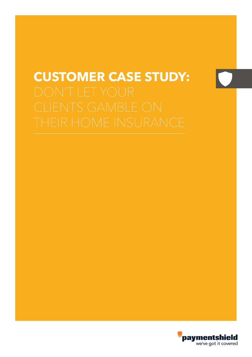# **CUSTOMER CASE STUDY:**

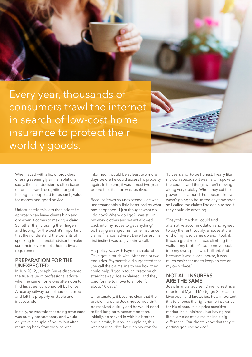

When faced with a list of providers offering seemingly similar solutions, sadly, the final decision is often based on price, brand recognition or gut feeling – as opposed to research, value for money and good advice.

Unfortunately, this less than scientific approach can leave clients high and dry when it comes to making a claim. So rather than crossing their fingers and hoping for the best, it's important that they understand the benefits of speaking to a financial adviser to make sure their cover meets their individual requirements.

### **PREPARATION FOR THE UNEXPECTED**

In July 2012, Joseph Burke discovered the true value of professional advice when he came home one afternoon to find his street cordoned off by Police. A nearby railway tunnel had collapsed and left his property unstable and inaccessible.

Initially, he was told that being evacuated was purely precautionary and would only take a couple of hours, but after returning back from work he was

informed it would be at least two more days before he could access his property again. In the end, it was almost two years before the situation was resolved!

Because it was so unexpected, Joe was understandably a little bemused by what had happened. 'I just thought what do I do now? Where do I go? I was still in my work clothes and wasn't allowed back into my house to get anything.' So having arranged his home insurance via his financial adviser, Dave Forrest, his first instinct was to give him a call.

His policy was with Paymentshield who Dave got in touch with. After one or two enquiries, Paymentshield suggested that Joe call the claims line to see how they could help. 'I got in touch pretty much straight away' Joe explained, 'and they paid for me to move to a hotel for about 10 days.'

Unfortunately, it became clear that the problem around Joe's house wouldn't be resolved quickly and he would need to find long term accommodation. Initially, he moved in with his brother and his wife, but as Joe explains, this was not ideal. 'I've lived on my own for

15 years and, to be honest, I really like my own space, so it was hard. I spoke to the council and things weren't moving along very quickly. When they cut the power lines around the houses, I knew it wasn't going to be sorted any time soon, so I called the claims line again to see if they could do anything.

'They told me that I could find alternative accommodation and agreed to pay the rent. Luckily, a house at the end of my road came up and I took it. It was a great relief. I was climbing the walls at my brother's, so to move back into my own space was brilliant. And because it was a local house, it was much easier for me to keep an eye on my own place.'

### **NOT ALL INSURERS ARE THE SAME**

Joe's financial adviser, Dave Forrest, is a director at Myriad Mortgage Services, in Liverpool, and knows just how important it is to choose the right home insurance for his clients. 'It is a price sensitive market' he explained, 'but having real life examples of claims makes a big difference. Our clients know that they're getting genuine advice.'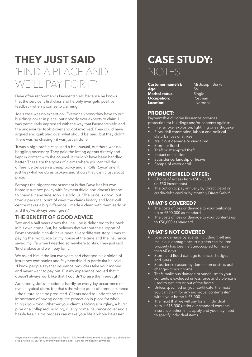# **THEY JUST SAID** 'FIND A PLACE AND WE'LL PAY FOR

Dave often recommends Paymentshield because he knows that the service is first class and he only ever gets positive feedback when it comes to claiming.

Joe's case was no exception. 'Everyone knows they have to put buildings cover in place, but nobody ever expects to claim. I was particularly impressed with the way that Paymentshield and the underwriter took it over and got involved. They could have argued and quibbled over what should be paid, but they didn't. There was no chasing – it was just all done.

'It was a high profile case, and a bit unusual, but there was no haggling necessary. They paid the letting agents directly and kept in contact with the council. It couldn't have been handled better. These are the types of claims where you can tell the difference between a cheap policy and a 'Rolls Royce' one. It justifies what we do as brokers and shows that it isn't just about price.'

Perhaps the biggest endorsement is that Dave has his own home insurance policy with Paymentshield and doesn't intend to change it any time soon. He told us, 'The price is good, but from a personal point of view, the claims history and local call centre makes a big difference. I made a claim with them early on and they've always been great.'

### **THE BENEFIT OF GOOD ADVICE**

Two and a half years down the line, Joe is delighted to be back in his own home. But, he believes that without the support of Paymentshield it could have been a very different story. 'I was still paying the mortgage on my house at the time and the insurance saved my life when I needed somewhere to stay. They just said 'find a place and we'll pay for it.'

We asked him if the last two years had changed his opinion of insurance companies and Paymentshield in particular he said, 'I know people say that insurance providers take your money and never want to pay out. But my experience proved that it doesn't always work like that. I couldn't praise them enough.'

Admittedly, Joe's situation is hardly an everyday occurrence or even a typical claim, but that's the whole point of home insurance – the future can't be predicted. Clients need to understand the importance of having adequate protection in place for when things go wrong. Whether your client is facing a burglary, a burst pipe or a collapsed building, quality home insurance cover and a hassle free claims process can make your life a whole lot easier.

## **CASE STUDY:** NOTES

**Customer name(s):** Mr Joseph Burke **Age:** 56 **Marital status:** Single **Occupation:** Postman **Occupation:**<br>Location:

**Location:** Liverpool

### **PRODUCT:**

Paymentshield Home Insurance provides protection for buildings and/or contents against:

- Fire, smoke, explosion, lightning or earthquake Riots, civil commotion, labour and political
	- disturbances or strikes
	- Malicious damage or vandalism
- Storm or flood
- Theft or attempted theft
- Impact or collision
- Subsidence, landslip or heave
- Escape of water or oil

### **PAYMENTSHIELD OFFER:**

- Choice of excess from £50 £500 (in £50 increments)
- The option to pay annually by Direct Debit or credit/debit card or by monthly Direct Debit\*

### **WHAT'S COVERED?**

- The costs of loss or damage to your buildings up to £500,000 as standard
- The costs of loss or damage to your contents up to £50,000 as standard

### **WHAT'S NOT COVERED**

- Loss or damage by events including theft and malicious damage occurring after the insured property has been left unoccupied for more than 60 days
- Storm and flood damage to fences, hedges and gates
- Subsidence caused by demolition or structural changes to your home
- Theft, malicious damage or vandalism to your contents is excluded unless force and violence is used to get into or out of the home
- Unless specified on your certificate, the most you can claim for any individual contents item within your home is £5,000
- The most that we will pay for an individual item is £15,000 under our standard contents insurance, other limits apply and you may need to specify individual items

\*Payments by credit card are subject to a fee of 1.5%. Monthly instalments re subject to a charge for credit. APR is 16.6% for 12 monthly payments and 19.5% for 10 monthly payments.